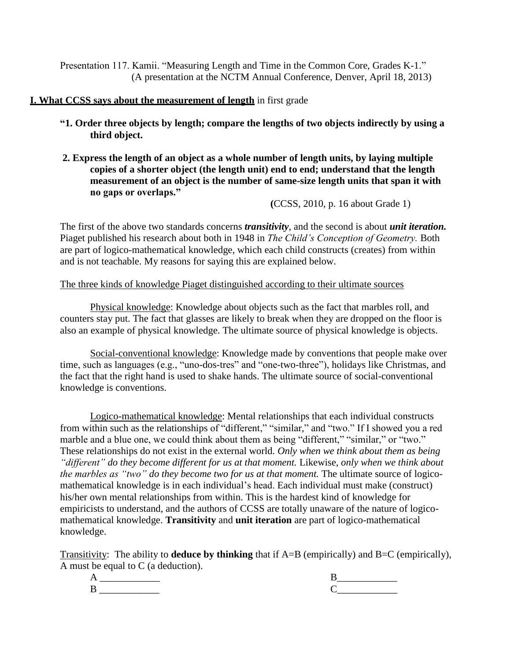Presentation 117. Kamii. "Measuring Length and Time in the Common Core, Grades K-1." (A presentation at the NCTM Annual Conference, Denver, April 18, 2013)

## **I. What CCSS says about the measurement of length** in first grade

- **"1. Order three objects by length; compare the lengths of two objects indirectly by using a third object.**
- **2. Express the length of an object as a whole number of length units, by laying multiple copies of a shorter object (the length unit) end to end; understand that the length measurement of an object is the number of same-size length units that span it with no gaps or overlaps."**

**(**CCSS, 2010, p. 16 about Grade 1)

The first of the above two standards concerns *transitivity*, and the second is about *unit iteration.* Piaget published his research about both in 1948 in *The Child's Conception of Geometry.* Both are part of logico-mathematical knowledge, which each child constructs (creates) from within and is not teachable. My reasons for saying this are explained below.

# The three kinds of knowledge Piaget distinguished according to their ultimate sources

Physical knowledge: Knowledge about objects such as the fact that marbles roll, and counters stay put. The fact that glasses are likely to break when they are dropped on the floor is also an example of physical knowledge. The ultimate source of physical knowledge is objects.

Social-conventional knowledge: Knowledge made by conventions that people make over time, such as languages (e.g., "uno-dos-tres" and "one-two-three"), holidays like Christmas, and the fact that the right hand is used to shake hands. The ultimate source of social-conventional knowledge is conventions.

Logico-mathematical knowledge: Mental relationships that each individual constructs from within such as the relationships of "different," "similar," and "two." If I showed you a red marble and a blue one, we could think about them as being "different," "similar," or "two." These relationships do not exist in the external world. *Only when we think about them as being "different" do they become different for us at that moment.* Likewise, *only when we think about the marbles as "two" do they become two for us at that moment.* The ultimate source of logicomathematical knowledge is in each individual's head. Each individual must make (construct) his/her own mental relationships from within. This is the hardest kind of knowledge for empiricists to understand, and the authors of CCSS are totally unaware of the nature of logicomathematical knowledge. **Transitivity** and **unit iteration** are part of logico-mathematical knowledge.

Transitivity: The ability to **deduce by thinking** that if A=B (empirically) and B=C (empirically), A must be equal to C (a deduction).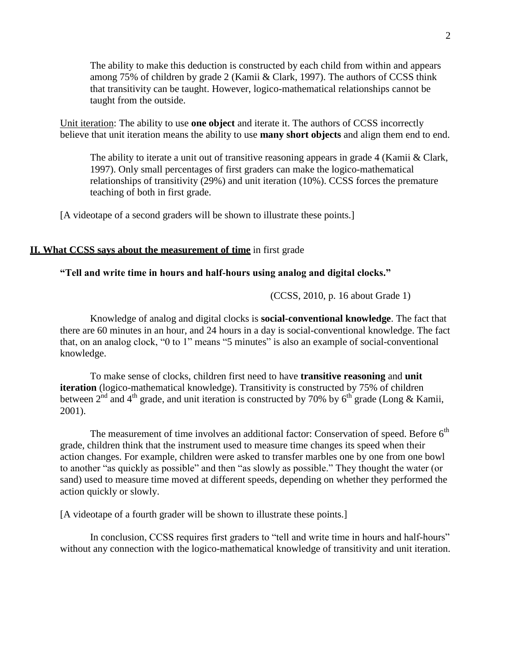The ability to make this deduction is constructed by each child from within and appears among 75% of children by grade 2 (Kamii & Clark, 1997). The authors of CCSS think that transitivity can be taught. However, logico-mathematical relationships cannot be taught from the outside.

Unit iteration: The ability to use **one object** and iterate it. The authors of CCSS incorrectly believe that unit iteration means the ability to use **many short objects** and align them end to end.

The ability to iterate a unit out of transitive reasoning appears in grade 4 (Kamii & Clark, 1997). Only small percentages of first graders can make the logico-mathematical relationships of transitivity (29%) and unit iteration (10%). CCSS forces the premature teaching of both in first grade.

[A videotape of a second graders will be shown to illustrate these points.]

#### **II. What CCSS says about the measurement of time** in first grade

## **"Tell and write time in hours and half-hours using analog and digital clocks."**

(CCSS, 2010, p. 16 about Grade 1)

Knowledge of analog and digital clocks is **social-conventional knowledge**. The fact that there are 60 minutes in an hour, and 24 hours in a day is social-conventional knowledge. The fact that, on an analog clock, "0 to 1" means "5 minutes" is also an example of social-conventional knowledge.

To make sense of clocks, children first need to have **transitive reasoning** and **unit iteration** (logico-mathematical knowledge). Transitivity is constructed by 75% of children between 2<sup>nd</sup> and 4<sup>th</sup> grade, and unit iteration is constructed by 70% by 6<sup>th</sup> grade (Long & Kamii, 2001).

The measurement of time involves an additional factor: Conservation of speed. Before  $6<sup>th</sup>$ grade, children think that the instrument used to measure time changes its speed when their action changes. For example, children were asked to transfer marbles one by one from one bowl to another "as quickly as possible" and then "as slowly as possible." They thought the water (or sand) used to measure time moved at different speeds, depending on whether they performed the action quickly or slowly.

[A videotape of a fourth grader will be shown to illustrate these points.]

In conclusion, CCSS requires first graders to "tell and write time in hours and half-hours" without any connection with the logico-mathematical knowledge of transitivity and unit iteration.